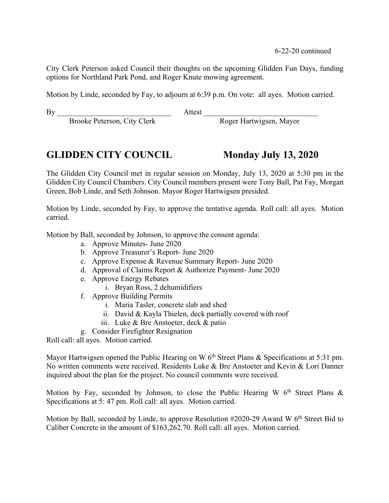6-22-20 continued

City Clerk Peterson asked Council their thoughts on the upcoming Glidden Fun Days, funding options for Northland Park Pond, and Roger Knute mowing agreement.

Motion by Linde, seconded by Fay, to adjourn at 6:39 p.m. On vote: all ayes. Motion carried.

By Attest  $\overline{B}$ 

Brooke Peterson, City Clerk Roger Hartwigsen, Mayor

# **GLIDDEN CITY COUNCIL Monday July 13, 2020**

The Glidden City Council met in regular session on Monday, July 13, 2020 at 5:30 pm in the Glidden City Council Chambers. City Council members present were Tony Ball, Pat Fay, Morgan Green, Bob Linde, and Seth Johnson. Mayor Roger Hartwigsen presided.

Motion by Linde, seconded by Fay, to approve the tentative agenda. Roll call: all ayes. Motion carried.

Motion by Ball, seconded by Johnson, to approve the consent agenda:

- a. Approve Minutes- June 2020
- b. Approve Treasurer's Report- June 2020
- c. Approve Expense & Revenue Summary Report- June 2020
- d. Approval of Claims Report & Authorize Payment- June 2020
- e. Approve Energy Rebates
	- i. Bryan Ross, 2 dehumidifiers
- f. Approve Building Permits
	- i. Maria Tasler, concrete slab and shed
	- ii. David & Kayla Thielen, deck partially covered with roof
	- iii. Luke & Bre Anstoeter, deck & patio
- g. Consider Firefighter Resignation

Roll call: all ayes. Motion carried.

Mayor Hartwigsen opened the Public Hearing on W  $6<sup>th</sup>$  Street Plans & Specifications at 5:31 pm. No written comments were received. Residents Luke & Bre Anstoeter and Kevin & Lori Danner inquired about the plan for the project. No council comments were received.

Motion by Fay, seconded by Johnson, to close the Public Hearing W  $6<sup>th</sup>$  Street Plans & Specifications at 5: 47 pm. Roll call: all ayes. Motion carried.

Motion by Ball, seconded by Linde, to approve Resolution #2020-29 Award W 6<sup>th</sup> Street Bid to Caliber Concrete in the amount of \$163,262.70. Roll call: all ayes. Motion carried.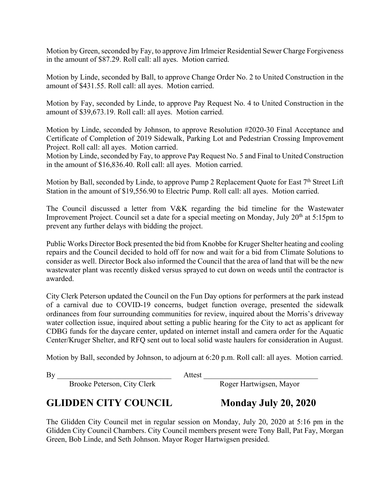Motion by Green, seconded by Fay, to approve Jim Irlmeier Residential Sewer Charge Forgiveness in the amount of \$87.29. Roll call: all ayes. Motion carried.

Motion by Linde, seconded by Ball, to approve Change Order No. 2 to United Construction in the amount of \$431.55. Roll call: all ayes. Motion carried.

Motion by Fay, seconded by Linde, to approve Pay Request No. 4 to United Construction in the amount of \$39,673.19. Roll call: all ayes. Motion carried.

Motion by Linde, seconded by Johnson, to approve Resolution #2020-30 Final Acceptance and Certificate of Completion of 2019 Sidewalk, Parking Lot and Pedestrian Crossing Improvement Project. Roll call: all ayes. Motion carried.

Motion by Linde, seconded by Fay, to approve Pay Request No. 5 and Final to United Construction in the amount of \$16,836.40. Roll call: all ayes. Motion carried.

Motion by Ball, seconded by Linde, to approve Pump 2 Replacement Quote for East 7<sup>th</sup> Street Lift Station in the amount of \$19,556.90 to Electric Pump. Roll call: all ayes. Motion carried.

The Council discussed a letter from V&K regarding the bid timeline for the Wastewater Improvement Project. Council set a date for a special meeting on Monday, July 20<sup>th</sup> at 5:15pm to prevent any further delays with bidding the project.

Public Works Director Bock presented the bid from Knobbe for Kruger Shelter heating and cooling repairs and the Council decided to hold off for now and wait for a bid from Climate Solutions to consider as well. Director Bock also informed the Council that the area of land that will be the new wastewater plant was recently disked versus sprayed to cut down on weeds until the contractor is awarded.

City Clerk Peterson updated the Council on the Fun Day options for performers at the park instead of a carnival due to COVID-19 concerns, budget function overage, presented the sidewalk ordinances from four surrounding communities for review, inquired about the Morris's driveway water collection issue, inquired about setting a public hearing for the City to act as applicant for CDBG funds for the daycare center, updated on internet install and camera order for the Aquatic Center/Kruger Shelter, and RFQ sent out to local solid waste haulers for consideration in August.

Motion by Ball, seconded by Johnson, to adjourn at 6:20 p.m. Roll call: all ayes. Motion carried.

By Attest  $\overline{B}$ 

Brooke Peterson, City Clerk Roger Hartwigsen, Mayor

# **GLIDDEN CITY COUNCIL Monday July 20, 2020**

The Glidden City Council met in regular session on Monday, July 20, 2020 at 5:16 pm in the Glidden City Council Chambers. City Council members present were Tony Ball, Pat Fay, Morgan Green, Bob Linde, and Seth Johnson. Mayor Roger Hartwigsen presided.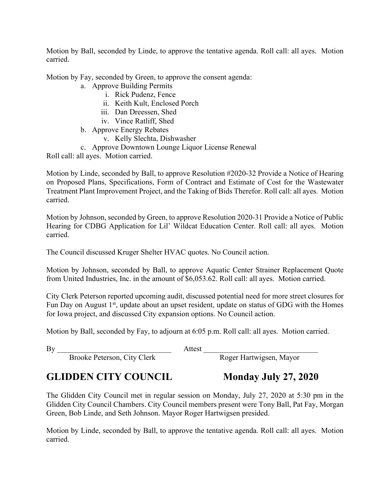Motion by Ball, seconded by Linde, to approve the tentative agenda. Roll call: all ayes. Motion carried.

Motion by Fay, seconded by Green, to approve the consent agenda:

- a. Approve Building Permits
	- i. Rick Pudenz, Fence
	- ii. Keith Kult, Enclosed Porch
	- iii. Dan Dreessen, Shed
	- iv. Vince Ratliff, Shed
- b. Approve Energy Rebates
	- v. Kelly Slechta, Dishwasher
- c. Approve Downtown Lounge Liquor License Renewal

Roll call: all ayes. Motion carried.

Motion by Linde, seconded by Ball, to approve Resolution #2020-32 Provide a Notice of Hearing on Proposed Plans, Specifications, Form of Contract and Estimate of Cost for the Wastewater Treatment Plant Improvement Project, and the Taking of Bids Therefor. Roll call: all ayes. Motion carried.

Motion by Johnson, seconded by Green, to approve Resolution 2020-31 Provide a Notice of Public Hearing for CDBG Application for Lil' Wildcat Education Center. Roll call: all ayes. Motion carried.

The Council discussed Kruger Shelter HVAC quotes. No Council action.

Motion by Johnson, seconded by Ball, to approve Aquatic Center Strainer Replacement Quote from United Industries, Inc. in the amount of \$6,053.62. Roll call: all ayes. Motion carried.

City Clerk Peterson reported upcoming audit, discussed potential need for more street closures for Fun Day on August 1<sup>st</sup>, update about an upset resident, update on status of GDG with the Homes for Iowa project, and discussed City expansion options. No Council action.

Motion by Ball, seconded by Fay, to adjourn at 6:05 p.m. Roll call: all ayes. Motion carried.

By Attest  $\overline{B}$ 

Brooke Peterson, City Clerk Roger Hartwigsen, Mayor

## **GLIDDEN CITY COUNCIL Monday July 27, 2020**

The Glidden City Council met in regular session on Monday, July 27, 2020 at 5:30 pm in the Glidden City Council Chambers. City Council members present were Tony Ball, Pat Fay, Morgan Green, Bob Linde, and Seth Johnson. Mayor Roger Hartwigsen presided.

Motion by Linde, seconded by Ball, to approve the tentative agenda. Roll call: all ayes. Motion carried.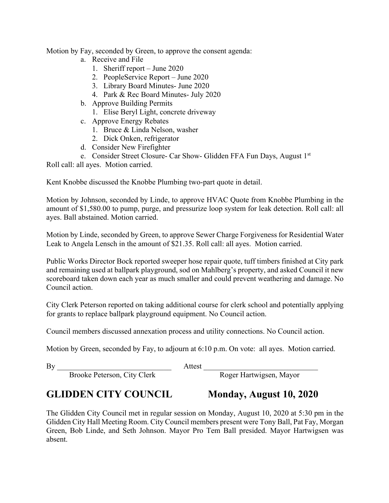Motion by Fay, seconded by Green, to approve the consent agenda:

- a. Receive and File
	- 1. Sheriff report June 2020
	- 2. PeopleService Report June 2020
	- 3. Library Board Minutes- June 2020
	- 4. Park & Rec Board Minutes- July 2020
- b. Approve Building Permits
	- 1. Elise Beryl Light, concrete driveway
- c. Approve Energy Rebates
	- 1. Bruce & Linda Nelson, washer
	- 2. Dick Onken, refrigerator
- d. Consider New Firefighter

e. Consider Street Closure- Car Show- Glidden FFA Fun Days, August 1st

Roll call: all ayes. Motion carried.

Kent Knobbe discussed the Knobbe Plumbing two-part quote in detail.

Motion by Johnson, seconded by Linde, to approve HVAC Quote from Knobbe Plumbing in the amount of \$1,580.00 to pump, purge, and pressurize loop system for leak detection. Roll call: all ayes. Ball abstained. Motion carried.

Motion by Linde, seconded by Green, to approve Sewer Charge Forgiveness for Residential Water Leak to Angela Lensch in the amount of \$21.35. Roll call: all ayes. Motion carried.

Public Works Director Bock reported sweeper hose repair quote, tuff timbers finished at City park and remaining used at ballpark playground, sod on Mahlberg's property, and asked Council it new scoreboard taken down each year as much smaller and could prevent weathering and damage. No Council action.

City Clerk Peterson reported on taking additional course for clerk school and potentially applying for grants to replace ballpark playground equipment. No Council action.

Council members discussed annexation process and utility connections. No Council action.

Motion by Green, seconded by Fay, to adjourn at 6:10 p.m. On vote: all ayes. Motion carried.

By Attest  $\overline{B}$ 

Brooke Peterson, City Clerk Roger Hartwigsen, Mayor

# **GLIDDEN CITY COUNCIL Monday, August 10, 2020**

The Glidden City Council met in regular session on Monday, August 10, 2020 at 5:30 pm in the Glidden City Hall Meeting Room. City Council members present were Tony Ball, Pat Fay, Morgan Green, Bob Linde, and Seth Johnson. Mayor Pro Tem Ball presided. Mayor Hartwigsen was absent.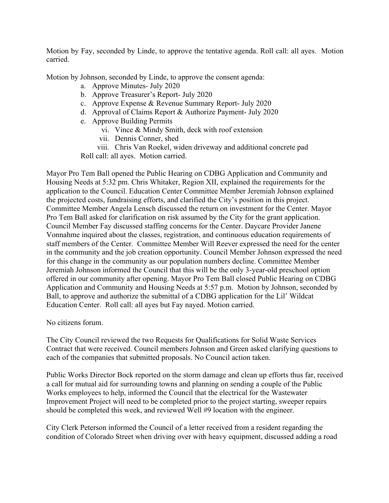Motion by Fay, seconded by Linde, to approve the tentative agenda. Roll call: all ayes. Motion carried.

Motion by Johnson, seconded by Linde, to approve the consent agenda:

- a. Approve Minutes- July 2020
- b. Approve Treasurer's Report- July 2020
- c. Approve Expense & Revenue Summary Report- July 2020
- d. Approval of Claims Report & Authorize Payment- July 2020
- e. Approve Building Permits
	- vi. Vince & Mindy Smith, deck with roof extension
	- vii. Dennis Conner, shed
	- viii. Chris Van Roekel, widen driveway and additional concrete pad

Roll call: all ayes. Motion carried.

Mayor Pro Tem Ball opened the Public Hearing on CDBG Application and Community and Housing Needs at 5:32 pm. Chris Whitaker, Region XII, explained the requirements for the application to the Council. Education Center Committee Member Jeremiah Johnson explained the projected costs, fundraising efforts, and clarified the City's position in this project. Committee Member Angela Lensch discussed the return on investment for the Center. Mayor Pro Tem Ball asked for clarification on risk assumed by the City for the grant application. Council Member Fay discussed staffing concerns for the Center. Daycare Provider Janene Vonnahme inquired about the classes, registration, and continuous education requirements of staff members of the Center. Committee Member Will Reever expressed the need for the center in the community and the job creation opportunity. Council Member Johnson expressed the need for this change in the community as our population numbers decline. Committee Member Jeremiah Johnson informed the Council that this will be the only 3-year-old preschool option offered in our community after opening. Mayor Pro Tem Ball closed Public Hearing on CDBG Application and Community and Housing Needs at 5:57 p.m. Motion by Johnson, seconded by Ball, to approve and authorize the submittal of a CDBG application for the Lil' Wildcat Education Center. Roll call: all ayes but Fay nayed. Motion carried.

No citizens forum.

The City Council reviewed the two Requests for Qualifications for Solid Waste Services Contract that were received. Council members Johnson and Green asked clarifying questions to each of the companies that submitted proposals. No Council action taken.

Public Works Director Bock reported on the storm damage and clean up efforts thus far, received a call for mutual aid for surrounding towns and planning on sending a couple of the Public Works employees to help, informed the Council that the electrical for the Wastewater Improvement Project will need to be completed prior to the project starting, sweeper repairs should be completed this week, and reviewed Well #9 location with the engineer.

City Clerk Peterson informed the Council of a letter received from a resident regarding the condition of Colorado Street when driving over with heavy equipment, discussed adding a road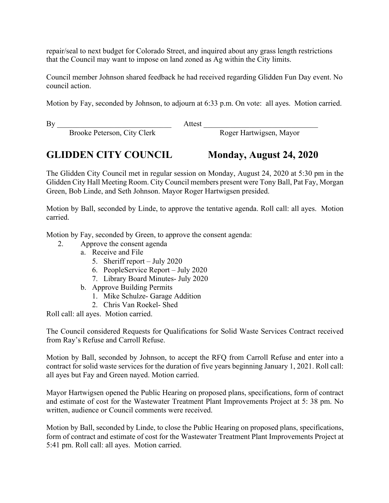repair/seal to next budget for Colorado Street, and inquired about any grass length restrictions that the Council may want to impose on land zoned as Ag within the City limits.

Council member Johnson shared feedback he had received regarding Glidden Fun Day event. No council action.

Motion by Fay, seconded by Johnson, to adjourn at 6:33 p.m. On vote: all ayes. Motion carried.

By Attest  $\overline{a}$ 

Brooke Peterson, City Clerk Roger Hartwigsen, Mayor

## **GLIDDEN CITY COUNCIL Monday, August 24, 2020**

The Glidden City Council met in regular session on Monday, August 24, 2020 at 5:30 pm in the Glidden City Hall Meeting Room. City Council members present were Tony Ball, Pat Fay, Morgan Green, Bob Linde, and Seth Johnson. Mayor Roger Hartwigsen presided.

Motion by Ball, seconded by Linde, to approve the tentative agenda. Roll call: all ayes. Motion carried.

Motion by Fay, seconded by Green, to approve the consent agenda:

- 2. Approve the consent agenda
	- a. Receive and File
		- 5. Sheriff report July 2020
		- 6. PeopleService Report July 2020
		- 7. Library Board Minutes- July 2020
	- b. Approve Building Permits
		- 1. Mike Schulze- Garage Addition
		- 2. Chris Van Roekel- Shed

Roll call: all ayes. Motion carried.

The Council considered Requests for Qualifications for Solid Waste Services Contract received from Ray's Refuse and Carroll Refuse.

Motion by Ball, seconded by Johnson, to accept the RFQ from Carroll Refuse and enter into a contract for solid waste services for the duration of five years beginning January 1, 2021. Roll call: all ayes but Fay and Green nayed. Motion carried.

Mayor Hartwigsen opened the Public Hearing on proposed plans, specifications, form of contract and estimate of cost for the Wastewater Treatment Plant Improvements Project at 5: 38 pm. No written, audience or Council comments were received.

Motion by Ball, seconded by Linde, to close the Public Hearing on proposed plans, specifications, form of contract and estimate of cost for the Wastewater Treatment Plant Improvements Project at 5:41 pm. Roll call: all ayes. Motion carried.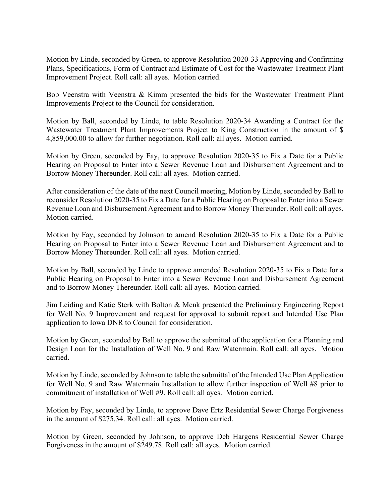Motion by Linde, seconded by Green, to approve Resolution 2020-33 Approving and Confirming Plans, Specifications, Form of Contract and Estimate of Cost for the Wastewater Treatment Plant Improvement Project. Roll call: all ayes. Motion carried.

Bob Veenstra with Veenstra & Kimm presented the bids for the Wastewater Treatment Plant Improvements Project to the Council for consideration.

Motion by Ball, seconded by Linde, to table Resolution 2020-34 Awarding a Contract for the Wastewater Treatment Plant Improvements Project to King Construction in the amount of \$ 4,859,000.00 to allow for further negotiation. Roll call: all ayes. Motion carried.

Motion by Green, seconded by Fay, to approve Resolution 2020-35 to Fix a Date for a Public Hearing on Proposal to Enter into a Sewer Revenue Loan and Disbursement Agreement and to Borrow Money Thereunder. Roll call: all ayes. Motion carried.

After consideration of the date of the next Council meeting, Motion by Linde, seconded by Ball to reconsider Resolution 2020-35 to Fix a Date for a Public Hearing on Proposal to Enter into a Sewer Revenue Loan and Disbursement Agreement and to Borrow Money Thereunder. Roll call: all ayes. Motion carried.

Motion by Fay, seconded by Johnson to amend Resolution 2020-35 to Fix a Date for a Public Hearing on Proposal to Enter into a Sewer Revenue Loan and Disbursement Agreement and to Borrow Money Thereunder. Roll call: all ayes. Motion carried.

Motion by Ball, seconded by Linde to approve amended Resolution 2020-35 to Fix a Date for a Public Hearing on Proposal to Enter into a Sewer Revenue Loan and Disbursement Agreement and to Borrow Money Thereunder. Roll call: all ayes. Motion carried.

Jim Leiding and Katie Sterk with Bolton & Menk presented the Preliminary Engineering Report for Well No. 9 Improvement and request for approval to submit report and Intended Use Plan application to Iowa DNR to Council for consideration.

Motion by Green, seconded by Ball to approve the submittal of the application for a Planning and Design Loan for the Installation of Well No. 9 and Raw Watermain. Roll call: all ayes. Motion carried.

Motion by Linde, seconded by Johnson to table the submittal of the Intended Use Plan Application for Well No. 9 and Raw Watermain Installation to allow further inspection of Well #8 prior to commitment of installation of Well #9. Roll call: all ayes. Motion carried.

Motion by Fay, seconded by Linde, to approve Dave Ertz Residential Sewer Charge Forgiveness in the amount of \$275.34. Roll call: all ayes. Motion carried.

Motion by Green, seconded by Johnson, to approve Deb Hargens Residential Sewer Charge Forgiveness in the amount of \$249.78. Roll call: all ayes. Motion carried.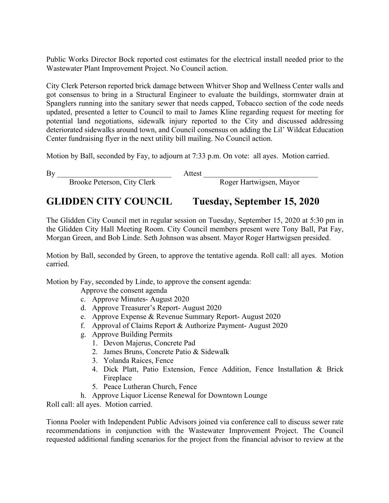Public Works Director Bock reported cost estimates for the electrical install needed prior to the Wastewater Plant Improvement Project. No Council action.

City Clerk Peterson reported brick damage between Whitver Shop and Wellness Center walls and got consensus to bring in a Structural Engineer to evaluate the buildings, stormwater drain at Spanglers running into the sanitary sewer that needs capped, Tobacco section of the code needs updated, presented a letter to Council to mail to James Kline regarding request for meeting for potential land negotiations, sidewalk injury reported to the City and discussed addressing deteriorated sidewalks around town, and Council consensus on adding the Lil' Wildcat Education Center fundraising flyer in the next utility bill mailing. No Council action.

Motion by Ball, seconded by Fay, to adjourn at 7:33 p.m. On vote: all ayes. Motion carried.

By Attest  $\overline{B}$ 

Brooke Peterson, City Clerk Roger Hartwigsen, Mayor

## **GLIDDEN CITY COUNCIL Tuesday, September 15, 2020**

The Glidden City Council met in regular session on Tuesday, September 15, 2020 at 5:30 pm in the Glidden City Hall Meeting Room. City Council members present were Tony Ball, Pat Fay, Morgan Green, and Bob Linde. Seth Johnson was absent. Mayor Roger Hartwigsen presided.

Motion by Ball, seconded by Green, to approve the tentative agenda. Roll call: all ayes. Motion carried.

Motion by Fay, seconded by Linde, to approve the consent agenda:

Approve the consent agenda

- c. Approve Minutes- August 2020
- d. Approve Treasurer's Report- August 2020
- e. Approve Expense & Revenue Summary Report- August 2020
- f. Approval of Claims Report & Authorize Payment- August 2020
- g. Approve Building Permits
	- 1. Devon Majerus, Concrete Pad
	- 2. James Bruns, Concrete Patio & Sidewalk
	- 3. Yolanda Raices, Fence
	- 4. Dick Platt, Patio Extension, Fence Addition, Fence Installation & Brick Fireplace
	- 5. Peace Lutheran Church, Fence
- h. Approve Liquor License Renewal for Downtown Lounge

Roll call: all ayes. Motion carried.

Tionna Pooler with Independent Public Advisors joined via conference call to discuss sewer rate recommendations in conjunction with the Wastewater Improvement Project. The Council requested additional funding scenarios for the project from the financial advisor to review at the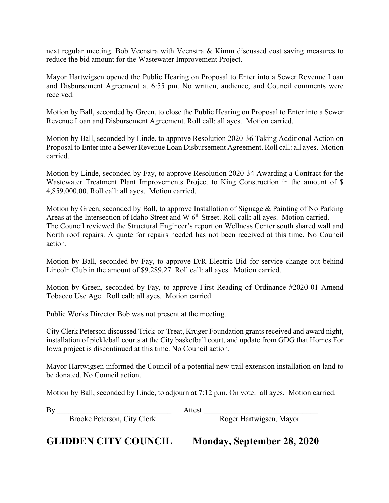next regular meeting. Bob Veenstra with Veenstra & Kimm discussed cost saving measures to reduce the bid amount for the Wastewater Improvement Project.

Mayor Hartwigsen opened the Public Hearing on Proposal to Enter into a Sewer Revenue Loan and Disbursement Agreement at 6:55 pm. No written, audience, and Council comments were received.

Motion by Ball, seconded by Green, to close the Public Hearing on Proposal to Enter into a Sewer Revenue Loan and Disbursement Agreement. Roll call: all ayes. Motion carried.

Motion by Ball, seconded by Linde, to approve Resolution 2020-36 Taking Additional Action on Proposal to Enter into a Sewer Revenue Loan Disbursement Agreement. Roll call: all ayes. Motion carried.

Motion by Linde, seconded by Fay, to approve Resolution 2020-34 Awarding a Contract for the Wastewater Treatment Plant Improvements Project to King Construction in the amount of \$ 4,859,000.00. Roll call: all ayes. Motion carried.

Motion by Green, seconded by Ball, to approve Installation of Signage & Painting of No Parking Areas at the Intersection of Idaho Street and W 6<sup>th</sup> Street. Roll call: all ayes. Motion carried. The Council reviewed the Structural Engineer's report on Wellness Center south shared wall and North roof repairs. A quote for repairs needed has not been received at this time. No Council action.

Motion by Ball, seconded by Fay, to approve D/R Electric Bid for service change out behind Lincoln Club in the amount of \$9,289.27. Roll call: all ayes. Motion carried.

Motion by Green, seconded by Fay, to approve First Reading of Ordinance #2020-01 Amend Tobacco Use Age. Roll call: all ayes. Motion carried.

Public Works Director Bob was not present at the meeting.

City Clerk Peterson discussed Trick-or-Treat, Kruger Foundation grants received and award night, installation of pickleball courts at the City basketball court, and update from GDG that Homes For Iowa project is discontinued at this time. No Council action.

Mayor Hartwigsen informed the Council of a potential new trail extension installation on land to be donated. No Council action.

Motion by Ball, seconded by Linde, to adjourn at 7:12 p.m. On vote: all ayes. Motion carried.

Brooke Peterson, City Clerk

By \_\_\_\_\_\_\_\_\_\_\_\_\_\_\_\_\_\_\_\_\_\_\_\_\_\_\_\_\_\_ Attest \_\_\_\_\_\_\_\_\_\_\_\_\_\_\_\_\_\_\_\_\_\_\_\_\_\_\_\_\_\_

**GLIDDEN CITY COUNCIL Monday, September 28, 2020**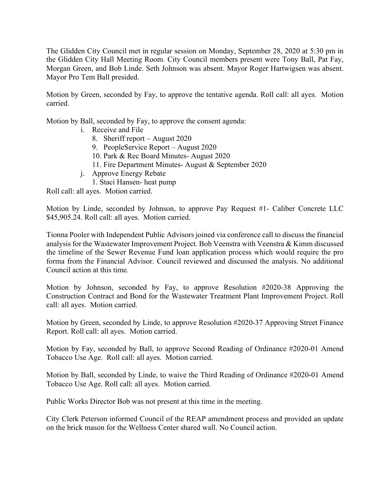The Glidden City Council met in regular session on Monday, September 28, 2020 at 5:30 pm in the Glidden City Hall Meeting Room. City Council members present were Tony Ball, Pat Fay, Morgan Green, and Bob Linde. Seth Johnson was absent. Mayor Roger Hartwigsen was absent. Mayor Pro Tem Ball presided.

Motion by Green, seconded by Fay, to approve the tentative agenda. Roll call: all ayes. Motion carried.

Motion by Ball, seconded by Fay, to approve the consent agenda:

- i. Receive and File
	- 8. Sheriff report August 2020
	- 9. PeopleService Report August 2020
	- 10. Park & Rec Board Minutes- August 2020
	- 11. Fire Department Minutes- August & September 2020
- j. Approve Energy Rebate
	- 1. Staci Hansen- heat pump

Roll call: all ayes. Motion carried.

Motion by Linde, seconded by Johnson, to approve Pay Request #1- Caliber Concrete LLC \$45,905.24. Roll call: all ayes. Motion carried.

Tionna Pooler with Independent Public Advisors joined via conference call to discuss the financial analysis for the Wastewater Improvement Project. Bob Veenstra with Veenstra & Kimm discussed the timeline of the Sewer Revenue Fund loan application process which would require the pro forma from the Financial Advisor. Council reviewed and discussed the analysis. No additional Council action at this time.

Motion by Johnson, seconded by Fay, to approve Resolution #2020-38 Approving the Construction Contract and Bond for the Wastewater Treatment Plant Improvement Project. Roll call: all ayes. Motion carried.

Motion by Green, seconded by Linde, to approve Resolution #2020-37 Approving Street Finance Report. Roll call: all ayes. Motion carried.

Motion by Fay, seconded by Ball, to approve Second Reading of Ordinance #2020-01 Amend Tobacco Use Age. Roll call: all ayes. Motion carried.

Motion by Ball, seconded by Linde, to waive the Third Reading of Ordinance #2020-01 Amend Tobacco Use Age. Roll call: all ayes. Motion carried.

Public Works Director Bob was not present at this time in the meeting.

City Clerk Peterson informed Council of the REAP amendment process and provided an update on the brick mason for the Wellness Center shared wall. No Council action.